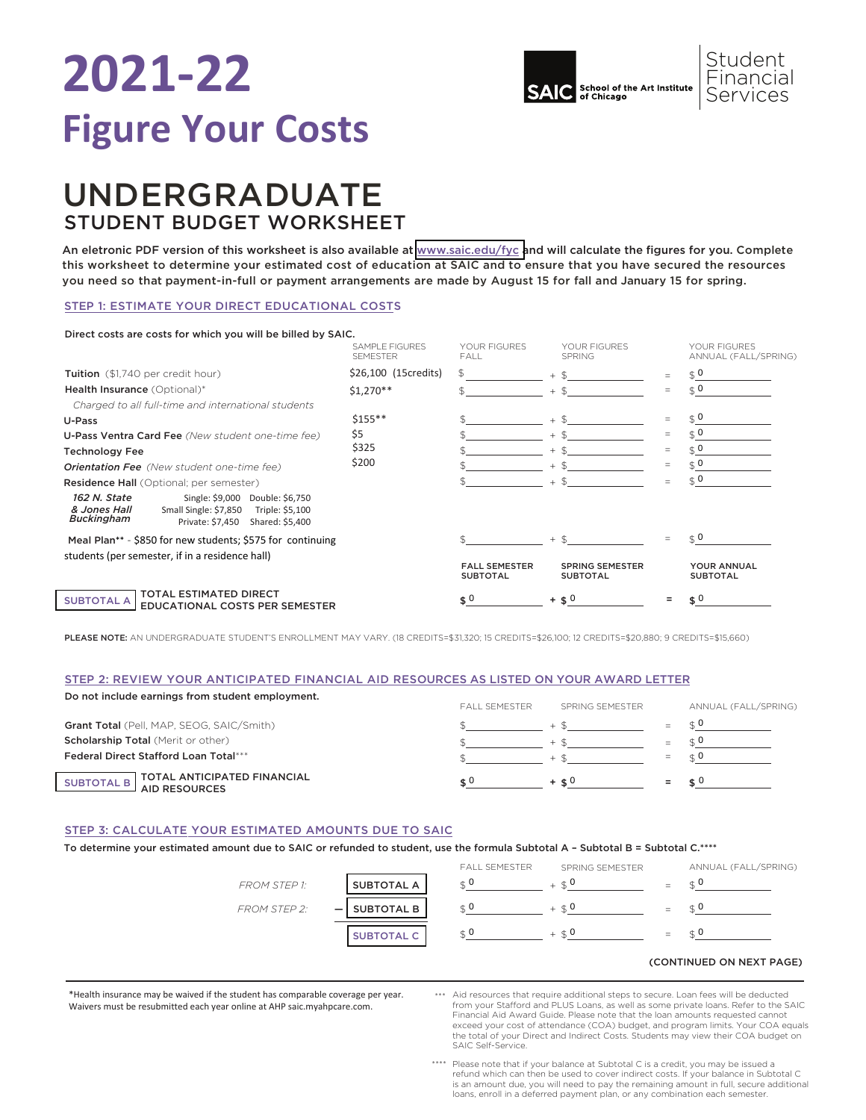## **2021-22 Figure Your Costs**



## UNDERGRADUATE STUDENT BUDGET WORKSHEET

An eletronic PDF version of this worksheet is also available at [www.saic.edu/fyc a](https://www.saic.edu/tuition/figure-your-costs)nd will calculate the figures for you. Complete this worksheet to determine your estimated cost of education at SAIC and to ensure that you have secured the resources you need so that payment-in-full or payment arrangements are made by August 15 for fall and January 15 for spring.

## STEP 1: ESTIMATE YOUR DIRECT EDUCATIONAL COSTS

#### SAMPLE FIGURES YOUR FIGURES YOUR FIGURES YOUR FIGURES<br>SEMESTER FALL FALL SPRING SPRING ANNUAL (FALL ANNUAL (FALL/SPRING) \$26,100 (15credits) \$  $$1,270**$ \$155\*\* \$ \$  $$$   $$$   $$$   $$$   $+$   $$$   $=$   $$$  $\frac{1}{2}$   $\frac{1}{2}$   $\frac{1}{2}$   $\frac{1}{2}$   $\frac{1}{2}$   $\frac{1}{2}$   $\frac{1}{2}$   $\frac{1}{2}$   $\frac{1}{2}$   $\frac{1}{2}$   $\frac{1}{2}$   $\frac{1}{2}$   $\frac{1}{2}$   $\frac{1}{2}$   $\frac{1}{2}$   $\frac{1}{2}$   $\frac{1}{2}$   $\frac{1}{2}$   $\frac{1}{2}$   $\frac{1}{2}$   $\frac{1}{2}$   $\frac{1}{2}$   $\frac{1}{2}$   $\frac{1}{2}$   $\frac{1}{2}$   $\frac{1}{2}$   $\frac{1}{2}$   $\frac{1}{2}$   $\frac{1}{2}$   $\frac{1}{2}$   $\frac{1}{2}$   $\frac{1}{2}$   $\frac{1}{2}$   $\frac{1}{2}$   $\frac{1}{2}$   $\frac{1}{2}$   $\frac{1}{2}$   $\frac{1}{2}$   $\frac{1}{2}$   $\frac{1}{2}$   $\frac{1}{2}$   $\frac{1}{2}$   $\frac{1}{2}$   $\frac{1}{2}$   $\frac{1}{2}$   $\frac{1}{2}$   $\frac{1}{2}$   $\frac{1}{2}$   $\frac{1}{2}$   $\frac{1}{2}$   $\frac{1}{2}$   $\frac{1}{2}$   $\frac{1}{2}$   $\frac{1}{2}$   $\frac{1}{2}$   $\frac{1}{2}$   $\frac{1}{2}$   $\frac{1}{2}$   $\frac{1}{2}$   $\frac{1}{2}$   $\frac{1}{2}$   $\frac{1}{2}$   $\frac{1}{2}$   $\frac{1}{2}$   $\frac{1}{2}$   $\frac{1}{2}$  FALL SEMESTER SPRING SEMESTER YOUR ANNUAL<br>SUBTOTAL SUBTOTAL SUBTOTAL SUBTOTAL SUBTOTAL SUBTOTAL SUBTOTAL \$ \$  $\frac{1}{2}$   $\frac{1}{2}$   $\frac{1}{2}$   $\frac{1}{2}$   $\frac{1}{2}$   $\frac{1}{2}$   $\frac{1}{2}$   $\frac{1}{2}$   $\frac{1}{2}$   $\frac{1}{2}$   $\frac{1}{2}$   $\frac{1}{2}$   $\frac{1}{2}$   $\frac{1}{2}$   $\frac{1}{2}$   $\frac{1}{2}$   $\frac{1}{2}$   $\frac{1}{2}$   $\frac{1}{2}$   $\frac{1}{2}$   $\frac{1}{2}$   $\frac{1}{2}$  \$ \$ \$ \$ + \$ \$ \$ \$ \$ + + + + + + + + = = = = = = = = = Tuition (\$1,740 per credit hour) Health Insurance (Optional)\* *Charged to all full-time and international students*  U-Pass U-Pass Ventra Card Fee *(New student one-time fee)* Technology Fee *Orientation Fee (New student one-time fee)* Residence Hall (Optional; per semester) SUBTOTAL A TOTAL ESTIMATED DIRECT EDUCATIONAL COSTS PER SEMESTER *162 N. State & Jones Hall* Direct costs are costs for which you will be billed by SAIC. \$5 \$200 *Buckingham*  Single: \$9,000 Double: \$6,750 Small Single: \$7,850 Triple: \$5,100 Private: \$7,450 Shared: \$5,400 Meal Plan\*\* - \$850 for new students; \$575 for continuing students (per semester, if in a residence hall)  $$0$  $\mathcal{L}^0$  $$0$  $\frac{1}{2}$  0  $\hat{S}$  0  $\frac{1}{2}$  0  $\mathfrak{g}$  0  $\mathfrak{g}$  0 0  $+$   $\leq 0$  =  $\leq 0$

PLEASE NOTE: AN UNDERGRADUATE STUDENT'S ENROLLMENT MAY VARY. (18 CREDITS=\$31,320; 15 CREDITS=\$26,100; 12 CREDITS=\$20,880; 9 CREDITS=\$15,660)

## STEP 2: REVIEW YOUR ANTICIPATED FINANCIAL AID RESOURCES AS LISTED ON YOUR AWARD LETTER

| Do not include earnings from student employment. | <b>FAIL SEMESTER</b> | SPRING SEMESTER |     | ANNUAL (FALL/SPRING) |  |
|--------------------------------------------------|----------------------|-----------------|-----|----------------------|--|
| Grant Total (Pell, MAP, SEOG, SAIC/Smith)        |                      |                 |     |                      |  |
| <b>Scholarship Total (Merit or other)</b>        |                      | $+$ $\alpha$    | $=$ |                      |  |
| <b>Federal Direct Stafford Loan Total***</b>     |                      |                 | $=$ |                      |  |
| SUBTOTAL B TOTAL ANTICIPATED FINANCIAL           |                      | $+$ $+$ $0$     |     |                      |  |

#### STEP 3: CALCULATE YOUR ESTIMATED AMOUNTS DUE TO SAIC

To determine your estimated amount due to SAIC or refunded to student, use the formula Subtotal A – Subtotal B = Subtotal C.\*\*\*\*



### \*Health insurance may be waived if the student has comparable coverage per year. Waivers must be resubmitted each year online at AHP saic.myahpcare.com.

\*\*\* Aid resources that require additional steps to secure. Loan fees will be deducted from your Staord and PLUS Loans, as well as some private loans. Refer to the SAIC Financial Aid Award Guide. Please note that the loan amounts requested cannot exceed your cost of attendance (COA) budget, and program limits. Your COA equals the total of your Direct and Indirect Costs. Students may view their COA budget on SAIC Self-Service.

(CONTINUED ON NEXT PAGE)

\*\*\*\* Please note that if your balance at Subtotal C is a credit, you may be issued a refund which can then be used to cover indirect costs. If your balance in Subtotal C is an amount due, you will need to pay the remaining amount in full, secure additional loans, enroll in a deferred payment plan, or any combination each semester.